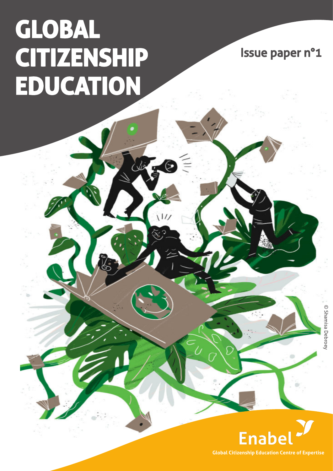# **GLOBAL CITIZENSHIP EDUCATION**

 $\frac{1}{2}$ 

Issue paper n°1

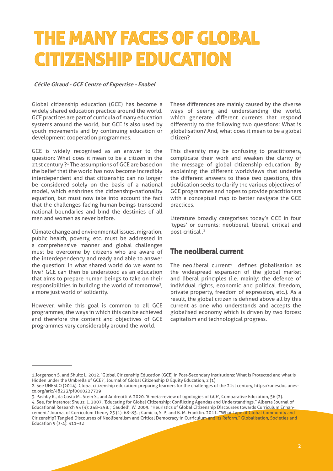## **THE MANY FACES OF GLOBAL CITIZENSHIP EDUCATION**

#### **Cécile Giraud - GCE Centre of Expertise - Enabel**

Global citizenship education (GCE) has become a widely shared education practice around the world. GCE practices are part of curricula of many education systems around the world, but GCE is also used by youth movements and by continuing education or development cooperation programmes.

GCE is widely recognised as an answer to the question: What does it mean to be a citizen in the 21st century ?<sup>1</sup> The assumptions of GCE are based on the belief that the world has now become incredibly interdependent and that citizenship can no longer be considered solely on the basis of a national model, which enshrines the citizenship-nationality equation, but must now take into account the fact that the challenges facing human beings transcend national boundaries and bind the destinies of all men and women as never before.

Climate change and environmental issues, migration, public health, poverty, etc. must be addressed in a comprehensive manner and global challenges must be overcome by citizens who are aware of the interdependency and ready and able to answer the question: in what shared world do we want to live? GCE can then be understood as an education that aims to prepare human beings to take on their responsibilities in building the world of tomorrow2, a more just world of solidarity.

However, while this goal is common to all GCE programmes, the ways in which this can be achieved and therefore the content and objectives of GCE programmes vary considerably around the world.

These differences are mainly caused by the diverse ways of seeing and understanding the world, which generate different currents that respond differently to the following two questions: What is globalisation? And, what does it mean to be a global citizen?

This diversity may be confusing to practitioners, complicate their work and weaken the clarity of the message of global citizenship education. By explaining the different worldviews that underlie the different answers to these two questions, this publication seeks to clarify the various objectives of GCE programmes and hopes to provide practitioners with a conceptual map to better navigate the GCE practices.

Literature broadly categorises today's GCE in four 'types' or currents: neoliberal, liberal, critical and post-critical .3

#### The neoliberal current

The neoliberal current $4$  defines globalisation as the widespread expansion of the global market and liberal principles (i.e. mainly: the defence of individual rights, economic and political freedom, private property, freedom of expression, etc.). As a result, the global citizen is defined above all by this current as one who understands and accepts the globalised economy which is driven by two forces: capitalism and technological progress.

<sup>1.</sup>Jorgenson S. and Shultz L. 2012. 'Global Citizenship Education (GCE) in Post-Secondary Institutions: What is Protected and what is Hidden under the Umbrella of GCE?', Journal of Global Citizenship & Equity Education, 2 (1)

<sup>2.</sup> See UNESCO (2014). Global citizenship education: preparing learners for the challenges of the 21st century, https://unesdoc.unesco.org/ark:/48223/pf0000227729

<sup>3.</sup> Pashby K., da Costa M., Stein S., and Andreotti V. 2020. 'A meta-review of typologies of GCE', Comparative Education, 56 (2). 4. See, for instance: Shultz, L. 2007. 'Educating for Global Citizenship: Conflicting Agendas and Understandings." Alberta Journal of Educational Research 53 (3): 248–258. ; Gaudelli, W. 2009. "Heuristics of Global Citizenship Discourses towards Curriculum Enhancement.' Journal of Curriculum Theory 25 (1): 68–85. ; Camicia, S. P., and B. M. Franklin. 2011. "What Type of Global Community and Citizenship? Tangled Discourses of Neoliberalism and Critical Democracy in Curriculum and Its Reform." Globalisation, Societies and Education 9 (3-4): 311–32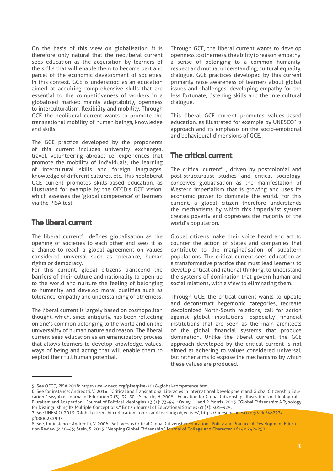On the basis of this view on globalisation, it is therefore only natural that the neoliberal current sees education as the acquisition by learners of the skills that will enable them to become part and parcel of the economic development of societies. In this context, GCE is understood as an education aimed at acquiring comprehensive skills that are essential to the competitiveness of workers in a globalised market: mainly adaptability, openness to interculturalism, flexibility and mobility. Through GCE the neoliberal current wants to promote the transnational mobility of human beings, knowledge and skills.

The GCE practice developed by the proponents of this current includes university exchanges, travel, volunteering abroad; i.e. experiences that promote the mobility of individuals, the learning of intercultural skills and foreign languages, knowledge of different cultures, etc. This neoloberal GCE current promotes skills-based education, as illustrated for example by the OECD's GCE vision, which assesses the 'global competence' of learners via the PISA test.<sup>5</sup>

#### The liberal current

The liberal current $6$  defines globalisation as the opening of societies to each other and sees it as a chance to reach a global agreement on values considered universal such as tolerance, human rights or democracy.

For this current, global citizens transcend the barriers of their culture and nationality to open up to the world and nurture the feeling of belonging to humanity and develop moral qualities such as tolerance, empathy and understanding of otherness.

The liberal current is largely based on cosmopolitan thought, which, since antiquity, has been reflecting on one's common belonging to the world and on the universality of human nature and reason. The liberal current sees education as an emancipatory process that allows learners to develop knowledge, values, ways of being and acting that will enable them to exploit their full human potential.

Through GCE, the liberal current wants to develop openness to otherness, the ability to reason, empathy, a sense of belonging to a common humanity, respect and mutual understanding, cultural equality, dialogue. GCE practices developed by this current primarily raise awareness of learners about global issues and challenges, developing empathy for the less fortunate, listening skills and the intercultural dialogue.

This liberal GCE current promotes values-based education, as illustrated for example by UNESCO7 's approach and its emphasis on the socio-emotional and behavioural dimensions of GCE.

### The critical current

The critical current<sup>8</sup>, driven by postcolonial and post-structuralist studies and critical sociology, conceives globalisation as the manifestation of Western imperialism that is growing and uses its economic power to dominate the world. For this current, a global citizen therefore understands the mechanisms by which this imperialist system creates poverty and oppresses the majority of the world's population.

Global citizens make their voice heard and act to counter the action of states and companies that contribute to the marginalisation of subaltern populations. The critical current sees education as a transformative practice that must lead learners to develop critical and rational thinking, to understand the systems of domination that govern human and social relations, with a view to eliminating them.

Through GCE, the critical current wants to update and deconstruct hegemonic categories, recreate decolonized North-South relations, call for action against global institutions, especially financial institutions that are seen as the main architects of the global financial systems that produce domination. Unlike the liberal current, the GCE approach developed by the critical current is not aimed at adhering to values considered universal, but rather aims to expose the mechanisms by which these values are produced.

<sup>5.</sup> See OECD, PISA 2018: https://www.oecd.org/pisa/pisa-2018-global-competence.html

<sup>6.</sup> See for instance: Andreotti, V. 2014. "Critical and Transnational Literacies in International Development and Global Citizenship Education." Sisyphus-Journal of Education 2 (3): 32–50. ; Schattle, H. 2008. "Education for Global Citizenship: Illustrations of Ideological Pluralism and Adaptation." Journal of Political Ideologies 13 (1): 73–94. ; Oxley, L., and P. Morris. 2013. "Global Citizenship: A Typology for Distinguishing Its Multiple Conceptions." British Journal of Educational Studies 61 (3): 301–325.

<sup>7.</sup> See UNESCO. 2015. 'Global citizenship education: topics and learning objectives', https://unesdoc.unesco.org/ark:/48223/ pf0000232993

<sup>8.</sup> See, for instance: Andreotti, V. 2006. 'Soft versus Critical Global Citizenship Education.' Policy and Practice: A Development Education Review 3: 40–45; Stein, S. 2015. 'Mapping Global Citizenship.' Journal of College and Character 16 (4): 242–252.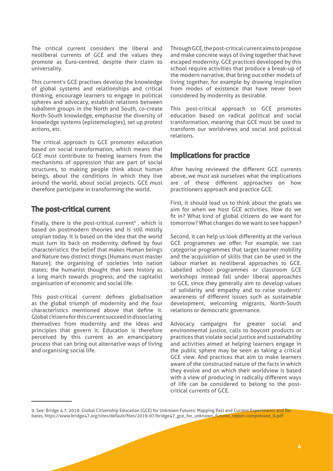The critical current considers the liberal and neoliberal currents of GCE and the values they promote as Euro-centred, despite their claim to universality.

This current's GCE practises develop the knowledge of global systems and relationships and critical thinking, encourage learners to engage in political spheres and advocacy, establish relations between subaltern groups in the North and South, co-create North-South knowledge, emphasise the diversity of knowledge systems (epistemologies), set up protest actions, etc.

The critical approach to GCE promotes education based on social transformation, which means that GCE must contribute to freeing learners from the mechanisms of oppression that are part of social structures, to making people think about human beings, about the conditions in which they live around the world, about social projects. GCE must therefore participate in transforming the world.

#### The post-critical current

Finally, there is the post-critical current<sup>9</sup>, which is based on postmodern theories and is still mostly utopian today. It is based on the idea that the world must turn its back on modernity, defined by four characteristics: the belief that makes Human beings and Nature two distinct things (Humans must master Nature); the organising of societies into nation states; the humanist thought that sees history as a long march towards progress; and the capitalist organisation of economic and social life.

This post-critical current defines globalisation as the global triumph of modernity and the four characteristics mentioned above that define it. Global citizens for this current succeed in dissociating themselves from modernity and the ideas and principles that govern it. Education is therefore perceived by this current as an emancipatory process that can bring out alternative ways of living and organising social life.

Through GCE, the post-critical current aims to propose and make concrete ways of living together that have escaped modernity. GCE practices developed by this school require activities that produce a break-up of the modern narrative, that bring out other models of living together, for example by drawing inspiration from modes of existence that have never been considered by modernity as desirable.

This post-critical approach to GCE promotes education based on radical political and social transformation, meaning that GCE must be used to transform our worldviews and social and political relations.

#### Implications for practice

After having reviewed the different GCE currents above, we must ask ourselves what the implications are of these different approaches on how practitioners approach and practice GCE.

First, it should lead us to think about the goals we aim for when we host GCE activities. How do we fit in? What kind of global citizens do we want for tomorrow? What changes do we want to see happen?

Second, it can help us look differently at the various GCE programmes we offer. For example, we can categorise programmes that target learner mobility and the acquisition of skills that can be used in the labour market as neoliberal approaches to GCE. Labelled school programmes or classroom GCE workshops instead fall under liberal approaches to GCE, since they generally aim to develop values of solidarity and empathy and to raise students' awareness of different issues such as sustainable development, welcoming migrants, North-South relations or democratic governance.

Advocacy campaigns for greater social and environmental justice, calls to boycott products or practices that violate social justice and sustainability and activities aimed at helping learners engage in the public sphere may be seen as taking a critical GCE view. And practices that aim to make learners aware of the constructed nature of the facts in which they evolve and on which their worldview is based with a view of producing in radically different ways of life can be considered to belong to the postcritical currents of GCE.

<sup>9.</sup> See: Bridge 4.7. 2019. Global Citizenship Education (GCE) for Unknown Futures: Mapping Past and Current Experiments and Debates, https://www.bridge47.org/sites/default/files/2019-07/bridge47\_gce\_for\_unknown\_futures\_report-compressed\_0.pdf